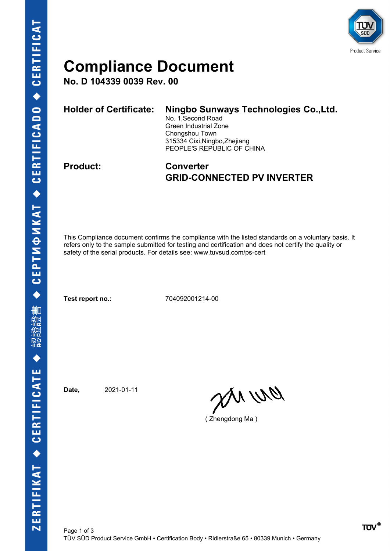

### **Compliance Document**

**No. D 104339 0039 Rev. 00**

| <b>Holder of Certificate:</b> | Ningbo Sunways Technologies Co., Ltd.<br>No. 1, Second Road<br>Green Industrial Zone<br>Chongshou Town<br>315334 Cixi, Ningbo, Zhejiang<br>PEOPLE'S REPUBLIC OF CHINA |
|-------------------------------|-----------------------------------------------------------------------------------------------------------------------------------------------------------------------|
|                               |                                                                                                                                                                       |

### **Product: Converter GRID-CONNECTED PV INVERTER**

This Compliance document confirms the compliance with the listed standards on a voluntary basis. It refers only to the sample submitted for testing and certification and does not certify the quality or safety of the serial products. For details see: www.tuvsud.com/ps-cert

**Test report no.:** 704092001214-00

**Date,** 2021-01-11

en ur

( Zhengdong Ma )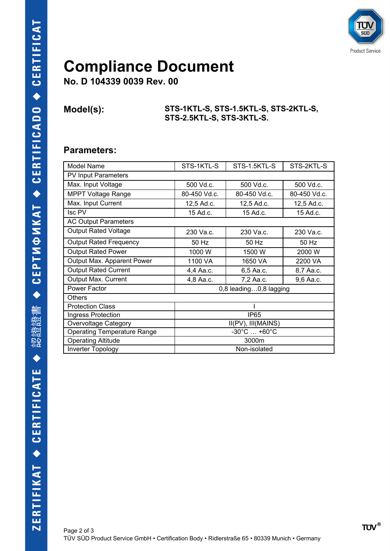

## **Compliance Document**

**No. D 104339 0039 Rev. 00**

**Model(s): STS-1KTL-S, STS-1.5KTL-S, STS-2KTL-S, STS-2.5KTL-S, STS-3KTL-S.**

#### **Parameters:**

| <b>Model Name</b>                  | STS-1KTL-S                       | STS-1.5KTL-S | STS-2KTL-S   |  |
|------------------------------------|----------------------------------|--------------|--------------|--|
| <b>PV Input Parameters</b>         |                                  |              |              |  |
| Max. Input Voltage                 | 500 Vd.c.                        | 500 Vd.c.    | 500 Vd.c.    |  |
| <b>MPPT Voltage Range</b>          | 80-450 Vd.c.                     | 80-450 Vd.c. | 80-450 Vd.c. |  |
| Max. Input Current                 | 12,5 Ad.c.                       | 12,5 Ad.c.   | 12,5 Ad.c.   |  |
| Isc PV                             | 15 Ad.c.                         | 15 Ad.c.     | 15 Ad.c.     |  |
| <b>AC Output Parameters</b>        |                                  |              |              |  |
| <b>Output Rated Voltage</b>        | 230 Va.c.                        | 230 Va.c.    | 230 Va.c.    |  |
| <b>Output Rated Frequency</b>      | 50 Hz                            | 50 Hz        | 50 Hz        |  |
| <b>Output Rated Power</b>          | 1000W                            | 1500 W       | 2000 W       |  |
| Output Max. Apparent Power         | 1100 VA                          | 1650 VA      | 2200 VA      |  |
| <b>Output Rated Current</b>        | 4,4 Aa.c.                        | 6,5 Aa.c.    | 8,7 Aa.c.    |  |
| Output Max. Current                | 4,8 Aa.c.                        | 7,2 Aa.c.    | 9,6 Aa.c.    |  |
| Power Factor                       | 0,8 leading0,8 lagging           |              |              |  |
| Others                             |                                  |              |              |  |
| <b>Protection Class</b>            |                                  |              |              |  |
| Ingress Protection                 | <b>IP65</b>                      |              |              |  |
| Overvoltage Category               | II(PV), III(MAINS)               |              |              |  |
| <b>Operating Temperature Range</b> | $-30^{\circ}$ C $ +60^{\circ}$ C |              |              |  |
| <b>Operating Altitude</b>          | 3000m                            |              |              |  |
| Inverter Topology                  | Non-isolated                     |              |              |  |